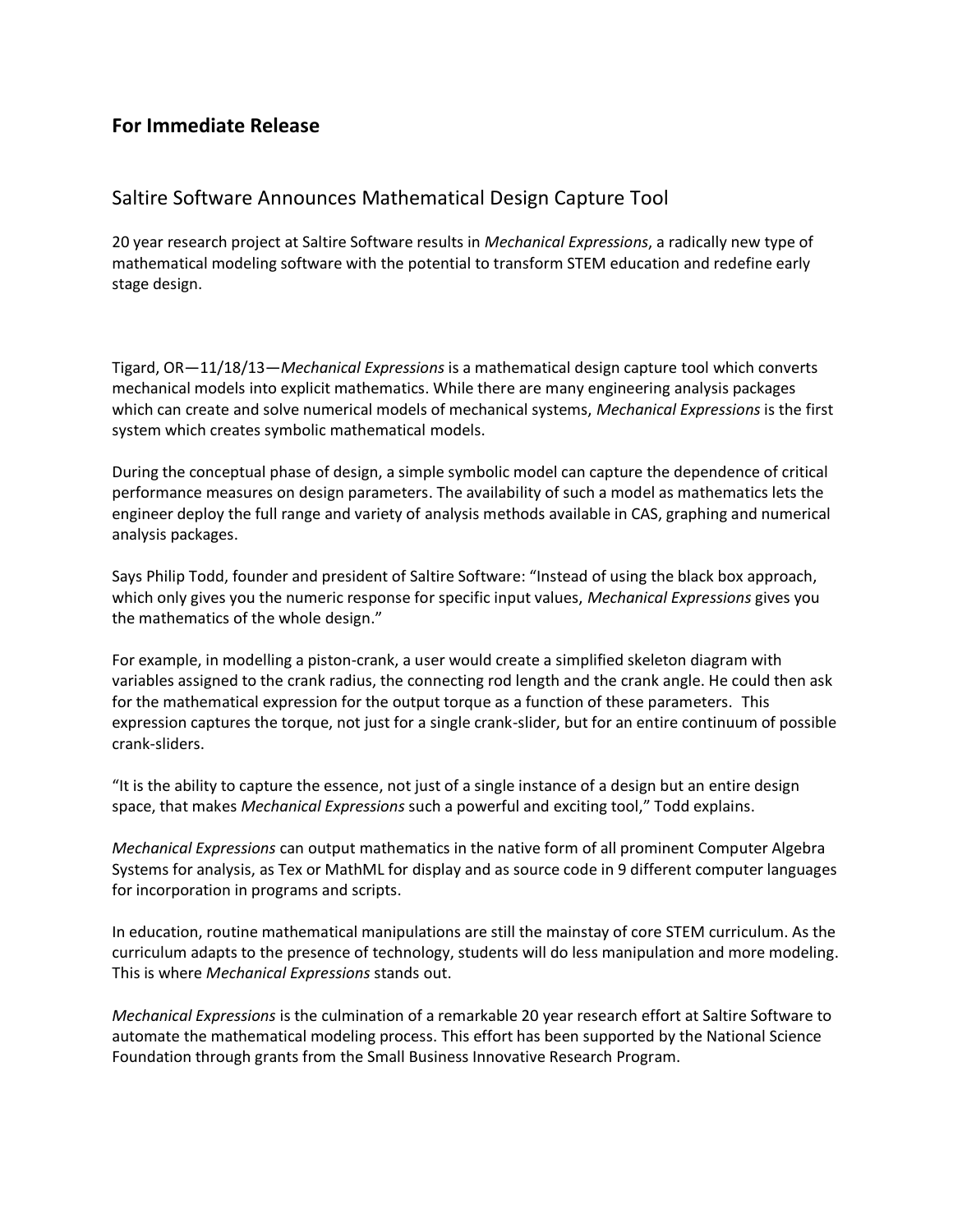## **For Immediate Release**

## Saltire Software Announces Mathematical Design Capture Tool

20 year research project at Saltire Software results in *Mechanical Expressions*, a radically new type of mathematical modeling software with the potential to transform STEM education and redefine early stage design.

Tigard, OR—11/18/13—*Mechanical Expressions* is a mathematical design capture tool which converts mechanical models into explicit mathematics. While there are many engineering analysis packages which can create and solve numerical models of mechanical systems, *Mechanical Expressions* is the first system which creates symbolic mathematical models.

During the conceptual phase of design, a simple symbolic model can capture the dependence of critical performance measures on design parameters. The availability of such a model as mathematics lets the engineer deploy the full range and variety of analysis methods available in CAS, graphing and numerical analysis packages.

Says Philip Todd, founder and president of Saltire Software: "Instead of using the black box approach, which only gives you the numeric response for specific input values, *Mechanical Expressions* gives you the mathematics of the whole design."

For example, in modelling a piston-crank, a user would create a simplified skeleton diagram with variables assigned to the crank radius, the connecting rod length and the crank angle. He could then ask for the mathematical expression for the output torque as a function of these parameters. This expression captures the torque, not just for a single crank-slider, but for an entire continuum of possible crank-sliders.

"It is the ability to capture the essence, not just of a single instance of a design but an entire design space, that makes *Mechanical Expressions* such a powerful and exciting tool," Todd explains.

*Mechanical Expressions* can output mathematics in the native form of all prominent Computer Algebra Systems for analysis, as Tex or MathML for display and as source code in 9 different computer languages for incorporation in programs and scripts.

In education, routine mathematical manipulations are still the mainstay of core STEM curriculum. As the curriculum adapts to the presence of technology, students will do less manipulation and more modeling. This is where *Mechanical Expressions* stands out.

*Mechanical Expressions* is the culmination of a remarkable 20 year research effort at Saltire Software to automate the mathematical modeling process. This effort has been supported by the National Science Foundation through grants from the Small Business Innovative Research Program.